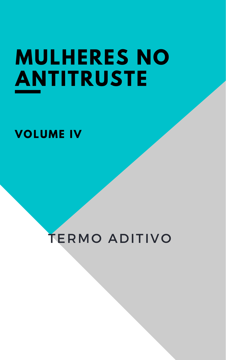# MULHERES NO ANTITRUSTE

# **VOLUME IV**

# TERMO ADITIVO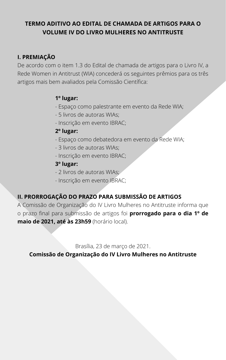# **TERMO ADITIVO AO EDITAL DE CHAMADA DE ARTIGOS PARA O VOLUME IV DO LIVRO MULHERES NO ANTITRUSTE**

# **I. PREMIAÇÃO**

De acordo com o item 1.3 do Edital de chamada de artigos para o Livro IV, a Rede Women in Antitrust (WIA) concederá os seguintes prêmios para os três artigos mais bem avaliados pela Comissão Científica:

#### **1º lugar:**

- Espaço como palestrante em evento da Rede WIA;
- 5 livros de autoras WIAs;
- Inscrição em evento IBRAC;

# **2º lugar:**

- Espaço como debatedora em evento da Rede WIA;
- 3 livros de autoras WIAs;
- Inscrição em evento IBRAC;

# **3º lugar:**

- 2 livros de autoras WIAs;
- Inscrição em evento IBRAC;

## **II. PRORROGAÇÃO DO PRAZO PARA SUBMISSÃO DE ARTIGOS**

A Comissão de Organização do IV Livro Mulheres no Antitruste informa que o prazo final para submissão de artigos foi **prorrogado para o dia 1º de maio de 2021, até às 23h59** (horário local).

#### Brasília, 23 de março de 2021.

#### **Comissão de Organização do IV Livro Mulheres no Antitruste**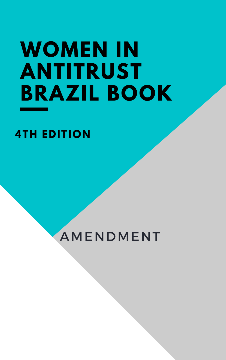# **WOMEN IN ANTITRUST BRAZIL BOOK**

# AMENDMENT

**4TH EDITION**